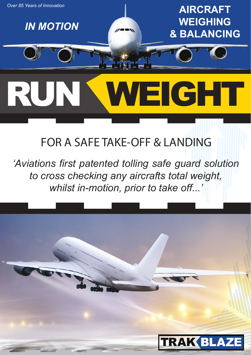

## **FOR A SAFE TAKE-OFF & LANDING**

*'Aviations first patented tolling safe guard solution to cross checking any aircrafts total weight, whilst in-motion, prior to take off...'*

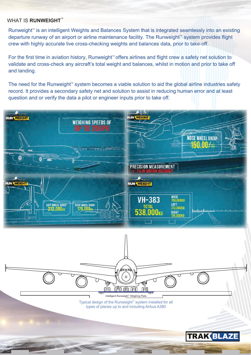#### **WHAT IS RUNWEIGHT<sup>™</sup>**

Runweight<sup>™</sup> is an intelligent Weights and Balances System that is integrated seamlessly into an existing departure runway of an airport or airline maintenance facility. The Runweight<sup>™</sup> system provides flight crew with highly accurate live cross-checking weights and balances data, prior to take-off.

For the first time in aviation history, Runweight<sup>™</sup> offers airlines and flight crew a safety net solution to validate and cross-check any aircraft's total weight and balances, whilst in motion and prior to take off and landing.

The need for the Runweight<sup> $M$ </sup> system becomes a viable solution to aid the global airline industries safety record. It provides a secondary safety net and solution to assist in reducing human error and at least question and or verify the data a pilot or engineer inputs prior to take off.

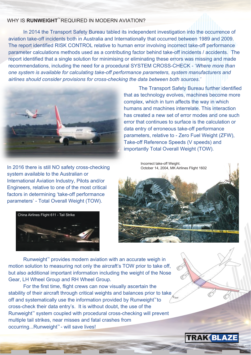#### WHY IS **RUNWEIGHT**<sup>™</sup>REQUIRED IN MODERN AVIATION?

 In 2014 the Transport Safety Bureau tabled its independent investigation into the occurrence of aviation take-off incidents both in Australia and Internationally that occurred between 1989 and 2009. The report identified RISK CONTROL relative to human error involving incorrect take-off performance parameter calculations methods used as a contributing factor behind take-off incidents / accidents. The report identified that a single solution for minimising or eliminating these errors was missing and made recommendations, including the need for a procedural SYSTEM CROSS-CHECK - '*Where more than one system is available for calculating take-off performance parameters, system manufacturers and airlines should consider provisions for cross-checking the data between both sources.'*



In 2016 there is still NO safety cross-checking system available to the Australian or International Aviation Industry, Pilots and/or Engineers, relative to one of the most critical factors in determining 'take-off performance parameters' - Total Overall Weight (TOW).



 The Transport Safety Bureau further identified that as technology evolves, machines become more complex, which in turn affects the way in which humans and machines interrelate. This interaction has created a new set of error modes and one such error that continues to surface is the calculation or data entry of erroneous take-off performance parameters, relative to - Zero Fuel Weight (ZFW), Take-off Reference Speeds (V speeds) and importantly Total Overall Weight (TOW).



Runweight<sup> $M$ </sup> provides modern aviation with an accurate weigh in motion solution to measuring not only the aircraft's TOW prior to take off, but also additional important information including the weight of the Nose Gear, LH Wheel Group and RH Wheel Group.

 For the first time, flight crews can now visually ascertain the stability of their aircraft through critical weights and balances prior to take off and systematically use the information provided by Runweight $<sup>m</sup>$ to</sup> cross-check their data entry's. It is without doubt, the use of the Runweight $M$  system coupled with procedural cross-checking will prevent multiple tail strikes, near misses and fatal crashes from occurring...Runweight™- will save lives!